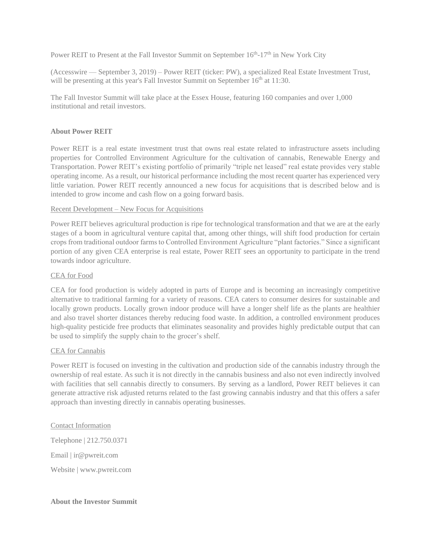Power REIT to Present at the Fall Investor Summit on September 16<sup>th</sup>-17<sup>th</sup> in New York City

(Accesswire — September 3, 2019) – Power REIT (ticker: PW), a specialized Real Estate Investment Trust, will be presenting at this year's Fall Investor Summit on September  $16<sup>th</sup>$  at 11:30.

The Fall Investor Summit will take place at the Essex House, featuring 160 companies and over 1,000 institutional and retail investors.

# **About Power REIT**

Power REIT is a real estate investment trust that owns real estate related to infrastructure assets including properties for Controlled Environment Agriculture for the cultivation of cannabis, Renewable Energy and Transportation. Power REIT's existing portfolio of primarily "triple net leased" real estate provides very stable operating income. As a result, our historical performance including the most recent quarter has experienced very little variation. Power REIT recently announced a new focus for acquisitions that is described below and is intended to grow income and cash flow on a going forward basis.

## Recent Development – New Focus for Acquisitions

Power REIT believes agricultural production is ripe for technological transformation and that we are at the early stages of a boom in agricultural venture capital that, among other things, will shift food production for certain crops from traditional outdoor farms to Controlled Environment Agriculture "plant factories." Since a significant portion of any given CEA enterprise is real estate, Power REIT sees an opportunity to participate in the trend towards indoor agriculture.

# CEA for Food

CEA for food production is widely adopted in parts of Europe and is becoming an increasingly competitive alternative to traditional farming for a variety of reasons. CEA caters to consumer desires for sustainable and locally grown products. Locally grown indoor produce will have a longer shelf life as the plants are healthier and also travel shorter distances thereby reducing food waste. In addition, a controlled environment produces high-quality pesticide free products that eliminates seasonality and provides highly predictable output that can be used to simplify the supply chain to the grocer's shelf.

## CEA for Cannabis

Power REIT is focused on investing in the cultivation and production side of the cannabis industry through the ownership of real estate. As such it is not directly in the cannabis business and also not even indirectly involved with facilities that sell cannabis directly to consumers. By serving as a landlord, Power REIT believes it can generate attractive risk adjusted returns related to the fast growing cannabis industry and that this offers a safer approach than investing directly in cannabis operating businesses.

## Contact Information

Telephone | 212.750.0371 Email | ir@pwreit.com Website | www.pwreit.com

## **About the Investor Summit**